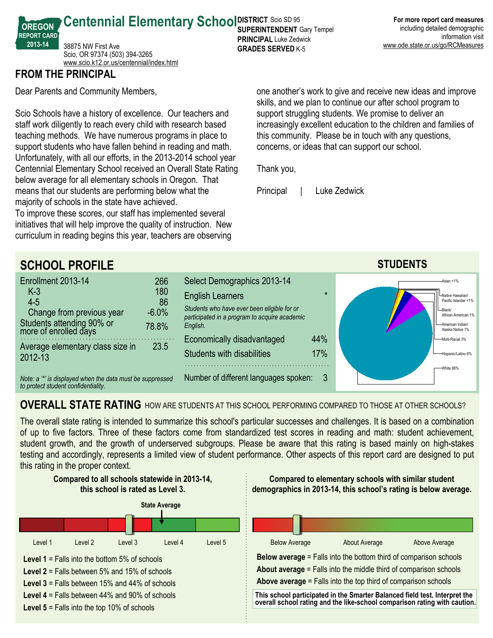**Centennial Elementary School SUPER RICT SCIO SD 95 SUPERINTENDENT** Gary Tempel **PRINCIPAL** Luke Zedwick **GRADES SERVED K-5** 

**FROM THE PRINCIPAL**

**OREGON REPORT CARD 201314**

Dear Parents and Community Members,

38875 NW First Ave

Scio, OR 97374 (503) 394-3265 <www.scio.k12.or.us/centennial/index.html>

Scio Schools have a history of excellence. Our teachers and staff work diligently to reach every child with research based teaching methods. We have numerous programs in place to support students who have fallen behind in reading and math. Unfortunately, with all our efforts, in the 2013-2014 school year Centennial Elementary School received an Overall State Rating below average for all elementary schools in Oregon. That means that our students are performing below what the majority of schools in the state have achieved.

To improve these scores, our staff has implemented several initiatives that will help improve the quality of instruction. New curriculum in reading begins this year, teachers are observing

one another's work to give and receive new ideas and improve skills, and we plan to continue our after school program to support struggling students. We promise to deliver an increasingly excellent education to the children and families of this community. Please be in touch with any questions, concerns, or ideas that can support our school.

Thank you,

Principal | Luke Zedwick



## **OVERALL STATE RATING** HOW ARE STUDENTS AT THIS SCHOOL PERFORMING COMPARED TO THOSE AT OTHER SCHOOLS?

The overall state rating is intended to summarize this school's particular successes and challenges. It is based on a combination of up to five factors. Three of these factors come from standardized test scores in reading and math: student achievement, student growth, and the growth of underserved subgroups. Please be aware that this rating is based mainly on high-stakes testing and accordingly, represents a limited view of student performance. Other aspects of this report card are designed to put this rating in the proper context.

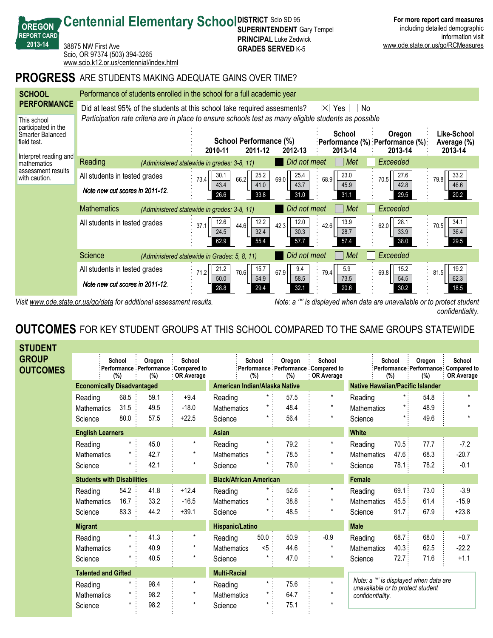

*Visit www.ode.state.or.us/go/data for additional assessment results. Note: a '\*' is displayed when data are unavailable or to protect student confidentiality.*

## **OUTCOMES** FOR KEY STUDENT GROUPS AT THIS SCHOOL COMPARED TO THE SAME GROUPS STATEWIDE

| <b>STUDENT</b>           |                                   |               |               |                                                                 |                               |                  |               |                                                                    |                                                                            |               |                                                       |                             |
|--------------------------|-----------------------------------|---------------|---------------|-----------------------------------------------------------------|-------------------------------|------------------|---------------|--------------------------------------------------------------------|----------------------------------------------------------------------------|---------------|-------------------------------------------------------|-----------------------------|
| GROUP<br><b>OUTCOMES</b> |                                   | School<br>(%) | Oregon<br>(%) | School<br>Performance : Performance : Compared to<br>OR Average |                               | School<br>$(\%)$ | Oregon<br>(%) | School<br>Performance Performance Compared to<br><b>OR Average</b> |                                                                            | School<br>(%) | Oregon<br>:Performance Performance Compared to<br>(%) | School<br><b>OR Average</b> |
|                          | <b>Economically Disadvantaged</b> |               |               | American Indian/Alaska Native                                   |                               |                  |               | <b>Native Hawaiian/Pacific Islander</b>                            |                                                                            |               |                                                       |                             |
|                          | Reading                           | 68.5          | 59.1          | $+9.4$                                                          | Reading                       | $\star$          | 57.5          | $^\star$                                                           | Reading                                                                    |               | 54.8                                                  | $\star$                     |
|                          | <b>Mathematics</b>                | 31.5          | 49.5          | $-18.0$                                                         | <b>Mathematics</b>            |                  | 48.4          | $\star$                                                            | <b>Mathematics</b>                                                         |               | 48.9                                                  |                             |
|                          | Science                           | 80.0          | 57.5          | $+22.5$                                                         | Science                       | $\star$          | 56.4          | $\star$                                                            | Science                                                                    | $\star$       | 49.6                                                  |                             |
|                          | <b>English Learners</b>           |               |               |                                                                 | <b>Asian</b>                  |                  |               |                                                                    | <b>White</b>                                                               |               |                                                       |                             |
|                          | Reading                           |               | 45.0          | $\star$                                                         | Reading                       | $\star$ .        | 79.2          | $\star$                                                            | Reading                                                                    | 70.5:         | 77.7                                                  | $-7.2$                      |
|                          | <b>Mathematics</b>                |               | 42.7          | $\star$                                                         | <b>Mathematics</b>            |                  | 78.5          |                                                                    | <b>Mathematics</b>                                                         | 47.6          | 68.3                                                  | $-20.7$                     |
|                          | Science                           |               | 42.1          | $\star$                                                         | Science                       |                  | 78.0          | $^\star$                                                           | Science                                                                    | 78.1:         | 78.2                                                  | $-0.1$                      |
|                          | <b>Students with Disabilities</b> |               |               |                                                                 | <b>Black/African American</b> |                  |               |                                                                    | <b>Female</b>                                                              |               |                                                       |                             |
|                          | Reading                           | 54.2          | 41.8          | $+12.4$                                                         | Reading                       |                  | 52.6          | $^\star$                                                           | Reading                                                                    | 69.1          | 73.0                                                  | $-3.9$                      |
|                          | <b>Mathematics</b>                | 16.7          | 33.2          | $-16.5$                                                         | Mathematics                   |                  | 38.8          |                                                                    | Mathematics                                                                | 45.5:         | 61.4                                                  | $-15.9$                     |
|                          | Science                           | 83.3          | 44.2          | $+39.1$                                                         | Science                       |                  | 48.5          | $\star$                                                            | Science                                                                    | 91.7:         | 67.9                                                  | $+23.8$                     |
|                          | <b>Migrant</b>                    |               |               |                                                                 | Hispanic/Latino               |                  |               |                                                                    | <b>Male</b>                                                                |               |                                                       |                             |
|                          | Reading                           |               | 41.3          | $^\star$                                                        | Reading                       | 50.0             | 50.9          | $-0.9$                                                             | Reading                                                                    | 68.7:         | 68.0                                                  | $+0.7$                      |
|                          | <b>Mathematics</b>                |               | 40.9          | $\star$                                                         | <b>Mathematics</b>            | $5$              | 44.6          | $\star$                                                            | <b>Mathematics</b>                                                         | 40.3:         | 62.5                                                  | $-22.2$                     |
|                          | Science                           |               | 40.5          | $\star$                                                         | Science                       |                  | 47.0          | $\star$                                                            | Science                                                                    | 72.7          | 71.6                                                  | $+1.1$                      |
|                          | <b>Talented and Gifted</b>        |               |               |                                                                 | <b>Multi-Racial</b>           |                  |               |                                                                    |                                                                            |               |                                                       |                             |
|                          | Reading                           |               | 98.4          | $\star$                                                         | Reading                       | $\star$ .        | 75.6          | $\star$                                                            | Note: a "" is displayed when data are<br>unavailable or to protect student |               |                                                       |                             |
|                          | <b>Mathematics</b>                |               | 98.2          | $\star$                                                         | <b>Mathematics</b>            | $\star$          | 64.7          | $\star$                                                            | confidentiality.                                                           |               |                                                       |                             |
|                          | Science                           |               | 98.2          | $^\star$                                                        | Science                       | *                | 75.1          |                                                                    |                                                                            |               |                                                       |                             |
|                          |                                   |               |               |                                                                 |                               |                  |               |                                                                    |                                                                            |               |                                                       |                             |